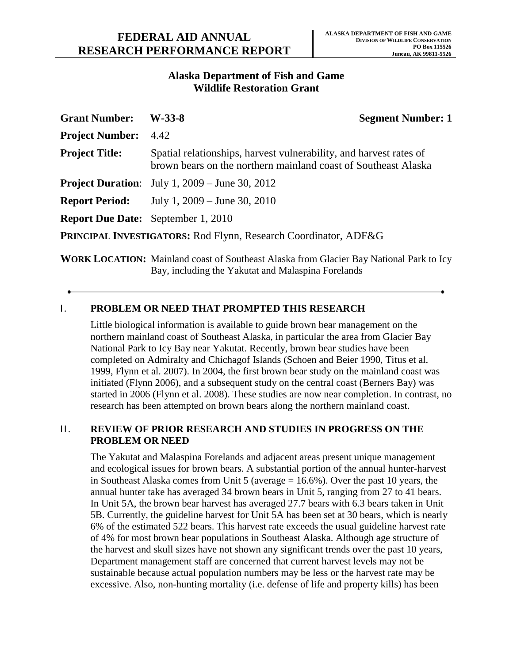## **Alaska Department of Fish and Game Wildlife Restoration Grant**

| <b>Grant Number:</b>                                            | $W-33-8$                                                                                                                             | <b>Segment Number: 1</b> |
|-----------------------------------------------------------------|--------------------------------------------------------------------------------------------------------------------------------------|--------------------------|
| <b>Project Number:</b>                                          | 4.42                                                                                                                                 |                          |
| <b>Project Title:</b>                                           | Spatial relationships, harvest vulnerability, and harvest rates of<br>brown bears on the northern mainland coast of Southeast Alaska |                          |
|                                                                 | <b>Project Duration:</b> July 1, 2009 – June 30, 2012                                                                                |                          |
|                                                                 | <b>Report Period:</b> July 1, 2009 – June 30, 2010                                                                                   |                          |
| <b>Report Due Date:</b> September 1, 2010                       |                                                                                                                                      |                          |
| PRINCIPAL INVESTIGATORS: Rod Flynn, Research Coordinator, ADF&G |                                                                                                                                      |                          |

**WORK LOCATION:** Mainland coast of Southeast Alaska from Glacier Bay National Park to Icy Bay, including the Yakutat and Malaspina Forelands

# **I. PROBLEM OR NEED THAT PROMPTED THIS RESEARCH**

Little biological information is available to guide brown bear management on the northern mainland coast of Southeast Alaska, in particular the area from Glacier Bay National Park to Icy Bay near Yakutat. Recently, brown bear studies have been completed on Admiralty and Chichagof Islands (Schoen and Beier 1990, Titus et al. 1999, Flynn et al. 2007). In 2004, the first brown bear study on the mainland coast was initiated (Flynn 2006), and a subsequent study on the central coast (Berners Bay) was started in 2006 (Flynn et al. 2008). These studies are now near completion. In contrast, no research has been attempted on brown bears along the northern mainland coast.

#### II. **REVIEW OF PRIOR RESEARCH AND STUDIES IN PROGRESS ON THE PROBLEM OR NEED**

The Yakutat and Malaspina Forelands and adjacent areas present unique management and ecological issues for brown bears. A substantial portion of the annual hunter-harvest in Southeast Alaska comes from Unit 5 (average = 16.6%). Over the past 10 years, the annual hunter take has averaged 34 brown bears in Unit 5, ranging from 27 to 41 bears. In Unit 5A, the brown bear harvest has averaged 27.7 bears with 6.3 bears taken in Unit 5B. Currently, the guideline harvest for Unit 5A has been set at 30 bears, which is nearly 6% of the estimated 522 bears. This harvest rate exceeds the usual guideline harvest rate of 4% for most brown bear populations in Southeast Alaska. Although age structure of the harvest and skull sizes have not shown any significant trends over the past 10 years, Department management staff are concerned that current harvest levels may not be sustainable because actual population numbers may be less or the harvest rate may be excessive. Also, non-hunting mortality (i.e. defense of life and property kills) has been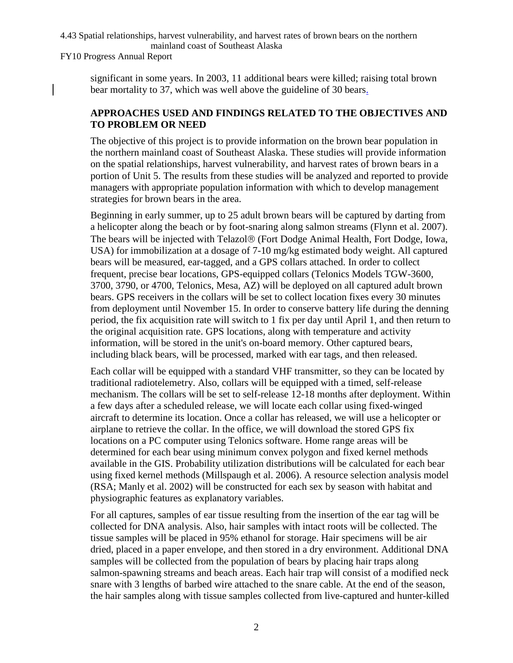#### 4.43 Spatial relationships, harvest vulnerability, and harvest rates of brown bears on the northern mainland coast of Southeast Alaska

FY10 Progress Annual Report

significant in some years. In 2003, 11 additional bears were killed; raising total brown bear mortality to 37, which was well above the guideline of 30 bears.

# **APPROACHES USED AND FINDINGS RELATED TO THE OBJECTIVES AND TO PROBLEM OR NEED**

The objective of this project is to provide information on the brown bear population in the northern mainland coast of Southeast Alaska. These studies will provide information on the spatial relationships, harvest vulnerability, and harvest rates of brown bears in a portion of Unit 5. The results from these studies will be analyzed and reported to provide managers with appropriate population information with which to develop management strategies for brown bears in the area.

Beginning in early summer, up to 25 adult brown bears will be captured by darting from a helicopter along the beach or by foot-snaring along salmon streams (Flynn et al. 2007). The bears will be injected with Telazol® (Fort Dodge Animal Health, Fort Dodge, Iowa, USA) for immobilization at a dosage of 7-10 mg/kg estimated body weight. All captured bears will be measured, ear-tagged, and a GPS collars attached. In order to collect frequent, precise bear locations, GPS-equipped collars (Telonics Models TGW-3600, 3700, 3790, or 4700, Telonics, Mesa, AZ) will be deployed on all captured adult brown bears. GPS receivers in the collars will be set to collect location fixes every 30 minutes from deployment until November 15. In order to conserve battery life during the denning period, the fix acquisition rate will switch to 1 fix per day until April 1, and then return to the original acquisition rate. GPS locations, along with temperature and activity information, will be stored in the unit's on-board memory. Other captured bears, including black bears, will be processed, marked with ear tags, and then released.

Each collar will be equipped with a standard VHF transmitter, so they can be located by traditional radiotelemetry. Also, collars will be equipped with a timed, self-release mechanism. The collars will be set to self-release 12-18 months after deployment. Within a few days after a scheduled release, we will locate each collar using fixed-winged aircraft to determine its location. Once a collar has released, we will use a helicopter or airplane to retrieve the collar. In the office, we will download the stored GPS fix locations on a PC computer using Telonics software. Home range areas will be determined for each bear using minimum convex polygon and fixed kernel methods available in the GIS. Probability utilization distributions will be calculated for each bear using fixed kernel methods (Millspaugh et al. 2006). A resource selection analysis model (RSA; Manly et al. 2002) will be constructed for each sex by season with habitat and physiographic features as explanatory variables.

For all captures, samples of ear tissue resulting from the insertion of the ear tag will be collected for DNA analysis. Also, hair samples with intact roots will be collected. The tissue samples will be placed in 95% ethanol for storage. Hair specimens will be air dried, placed in a paper envelope, and then stored in a dry environment. Additional DNA samples will be collected from the population of bears by placing hair traps along salmon-spawning streams and beach areas. Each hair trap will consist of a modified neck snare with 3 lengths of barbed wire attached to the snare cable. At the end of the season, the hair samples along with tissue samples collected from live-captured and hunter-killed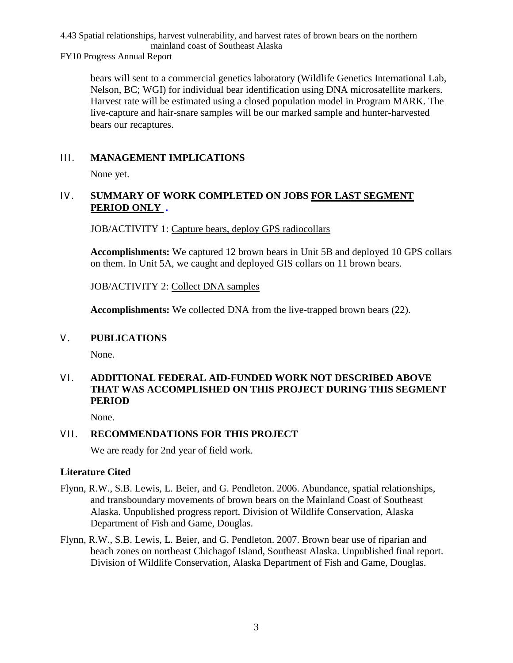#### 4.43 Spatial relationships, harvest vulnerability, and harvest rates of brown bears on the northern mainland coast of Southeast Alaska

FY10 Progress Annual Report

bears will sent to a commercial genetics laboratory (Wildlife Genetics International Lab, Nelson, BC; WGI) for individual bear identification using DNA microsatellite markers. Harvest rate will be estimated using a closed population model in Program MARK. The live-capture and hair-snare samples will be our marked sample and hunter-harvested bears our recaptures.

## III. **MANAGEMENT IMPLICATIONS**

None yet.

# IV. **SUMMARY OF WORK COMPLETED ON JOBS FOR LAST SEGMENT PERIOD ONLY** *.*

JOB/ACTIVITY 1: Capture bears, deploy GPS radiocollars

**Accomplishments:** We captured 12 brown bears in Unit 5B and deployed 10 GPS collars on them. In Unit 5A, we caught and deployed GIS collars on 11 brown bears.

JOB/ACTIVITY 2: Collect DNA samples

**Accomplishments:** We collected DNA from the live-trapped brown bears (22).

## **V. PUBLICATIONS**

None.

# VI. **ADDITIONAL FEDERAL AID-FUNDED WORK NOT DESCRIBED ABOVE THAT WAS ACCOMPLISHED ON THIS PROJECT DURING THIS SEGMENT PERIOD**

None.

## VII. **RECOMMENDATIONS FOR THIS PROJECT**

We are ready for 2nd year of field work.

## **Literature Cited**

- Flynn, R.W., S.B. Lewis, L. Beier, and G. Pendleton. 2006. Abundance, spatial relationships, and transboundary movements of brown bears on the Mainland Coast of Southeast Alaska. Unpublished progress report. Division of Wildlife Conservation, Alaska Department of Fish and Game, Douglas.
- Flynn, R.W., S.B. Lewis, L. Beier, and G. Pendleton. 2007. Brown bear use of riparian and beach zones on northeast Chichagof Island, Southeast Alaska. Unpublished final report. Division of Wildlife Conservation, Alaska Department of Fish and Game, Douglas.